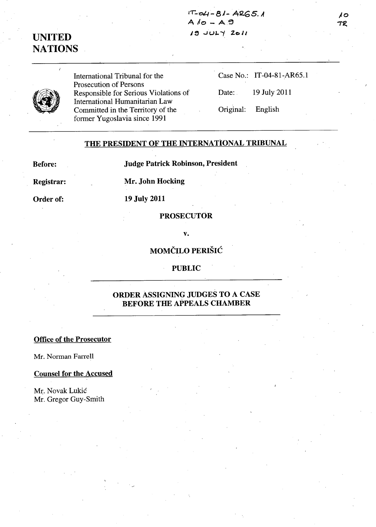$1T$ -04 - 81 - ARG5. A  $A /o - A.9$  $19$  JULY 2011

# UNITED **NATIONS**

International Tribunal for the Prosecution of Persons Responsible for Serious Violations of International Humanitarian Law Committed in the Territory of the former Yugoslavia since 1991

Case No.: IT-04-81-AR65.1

Date: 19 July 2011

Original: English

### THE PRESIDENT OF THE INTERNATIONAL TRIBUNAL

Before:

Judge Patrick Robinson, President

Registrar:

Mr. John Hocking

Order of:

# 19 July 2011

#### PROSECUTOR

#### v.

## MOMČILO PERIŠIĆ

#### PUBLIC

### ORDER ASSIGNING JUDGES TO A CASE BEFORE THE APPEALS CHAMBER

#### Office of the Prosecutor

Mr. Norman Farrell

#### Counsel for the Accused

Mr. Novak Lukić Mr. Gregor Guy-Smith